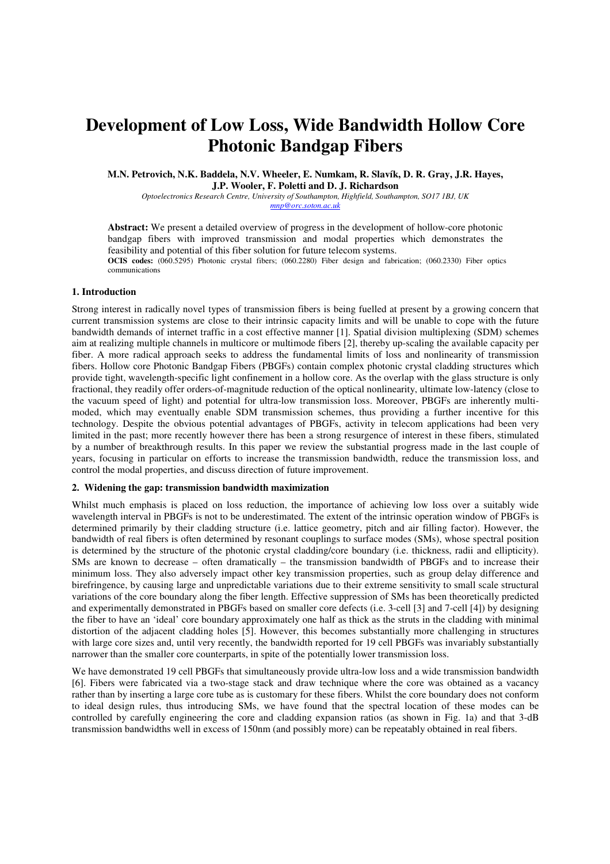# **Development of Low Loss, Wide Bandwidth Hollow Core Photonic Bandgap Fibers**

**M.N. Petrovich, N.K. Baddela, N.V. Wheeler, E. Numkam, R. Slavík, D. R. Gray, J.R. Hayes, J.P. Wooler, F. Poletti and D. J. Richardson** 

*Optoelectronics Research Centre, University of Southampton, Highfield, Southampton, SO17 1BJ, UK mnp@orc.soton.ac.uk*

**Abstract:** We present a detailed overview of progress in the development of hollow-core photonic bandgap fibers with improved transmission and modal properties which demonstrates the feasibility and potential of this fiber solution for future telecom systems.

**OCIS codes:** (060.5295) Photonic crystal fibers; (060.2280) Fiber design and fabrication; (060.2330) Fiber optics communications

## **1. Introduction**

Strong interest in radically novel types of transmission fibers is being fuelled at present by a growing concern that current transmission systems are close to their intrinsic capacity limits and will be unable to cope with the future bandwidth demands of internet traffic in a cost effective manner [1]. Spatial division multiplexing (SDM) schemes aim at realizing multiple channels in multicore or multimode fibers [2], thereby up-scaling the available capacity per fiber. A more radical approach seeks to address the fundamental limits of loss and nonlinearity of transmission fibers. Hollow core Photonic Bandgap Fibers (PBGFs) contain complex photonic crystal cladding structures which provide tight, wavelength-specific light confinement in a hollow core. As the overlap with the glass structure is only fractional, they readily offer orders-of-magnitude reduction of the optical nonlinearity, ultimate low-latency (close to the vacuum speed of light) and potential for ultra-low transmission loss. Moreover, PBGFs are inherently multimoded, which may eventually enable SDM transmission schemes, thus providing a further incentive for this technology. Despite the obvious potential advantages of PBGFs, activity in telecom applications had been very limited in the past; more recently however there has been a strong resurgence of interest in these fibers, stimulated by a number of breakthrough results. In this paper we review the substantial progress made in the last couple of years, focusing in particular on efforts to increase the transmission bandwidth, reduce the transmission loss, and control the modal properties, and discuss direction of future improvement.

## **2. Widening the gap: transmission bandwidth maximization**

Whilst much emphasis is placed on loss reduction, the importance of achieving low loss over a suitably wide wavelength interval in PBGFs is not to be underestimated. The extent of the intrinsic operation window of PBGFs is determined primarily by their cladding structure (i.e. lattice geometry, pitch and air filling factor). However, the bandwidth of real fibers is often determined by resonant couplings to surface modes (SMs), whose spectral position is determined by the structure of the photonic crystal cladding/core boundary (i.e. thickness, radii and ellipticity). SMs are known to decrease – often dramatically – the transmission bandwidth of PBGFs and to increase their minimum loss. They also adversely impact other key transmission properties, such as group delay difference and birefringence, by causing large and unpredictable variations due to their extreme sensitivity to small scale structural variations of the core boundary along the fiber length. Effective suppression of SMs has been theoretically predicted and experimentally demonstrated in PBGFs based on smaller core defects (i.e. 3-cell [3] and 7-cell [4]) by designing the fiber to have an 'ideal' core boundary approximately one half as thick as the struts in the cladding with minimal distortion of the adjacent cladding holes [5]. However, this becomes substantially more challenging in structures with large core sizes and, until very recently, the bandwidth reported for 19 cell PBGFs was invariably substantially narrower than the smaller core counterparts, in spite of the potentially lower transmission loss.

We have demonstrated 19 cell PBGFs that simultaneously provide ultra-low loss and a wide transmission bandwidth [6]. Fibers were fabricated via a two-stage stack and draw technique where the core was obtained as a vacancy rather than by inserting a large core tube as is customary for these fibers. Whilst the core boundary does not conform to ideal design rules, thus introducing SMs, we have found that the spectral location of these modes can be controlled by carefully engineering the core and cladding expansion ratios (as shown in Fig. 1a) and that 3-dB transmission bandwidths well in excess of 150nm (and possibly more) can be repeatably obtained in real fibers.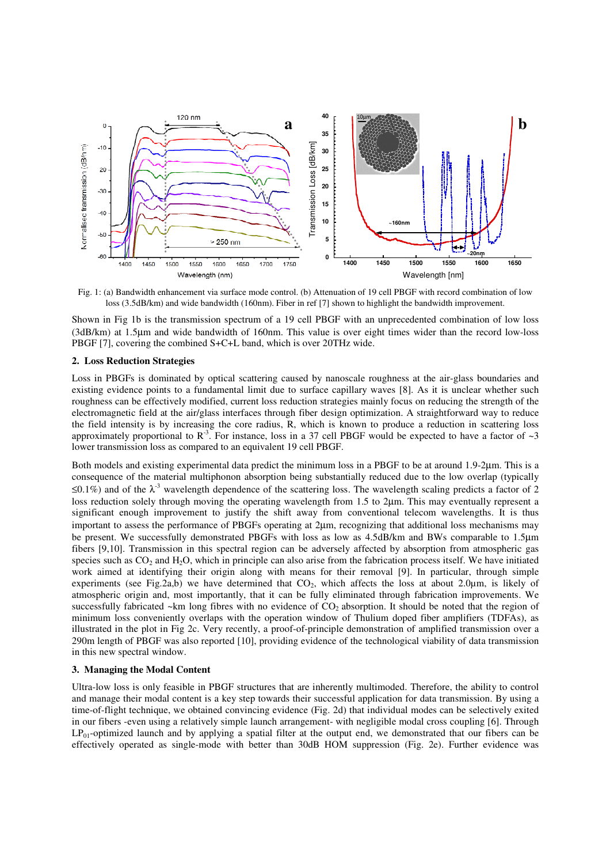

Fig. 1: (a) Bandwidth enhancement via surface mode control. (b) Attenuation of 19 cell PBGF with record combination of low loss (3.5dB/km) and wide bandwidth (160nm). Fiber in ref [7] shown to highlight the bandwidth improvement.

Shown in Fig 1b is the transmission spectrum of a 19 cell PBGF with an unprecedented combination of low loss (3dB/km) at 1.5µm and wide bandwidth of 160nm. This value is over eight times wider than the record low-loss PBGF [7], covering the combined S+C+L band, which is over 20THz wide.

#### **2. Loss Reduction Strategies**

Loss in PBGFs is dominated by optical scattering caused by nanoscale roughness at the air-glass boundaries and existing evidence points to a fundamental limit due to surface capillary waves [8]. As it is unclear whether such roughness can be effectively modified, current loss reduction strategies mainly focus on reducing the strength of the electromagnetic field at the air/glass interfaces through fiber design optimization. A straightforward way to reduce the field intensity is by increasing the core radius, R, which is known to produce a reduction in scattering loss approximately proportional to  $\mathbb{R}^3$ . For instance, loss in a 37 cell PBGF would be expected to have a factor of  $\sim 3$ lower transmission loss as compared to an equivalent 19 cell PBGF.

Both models and existing experimental data predict the minimum loss in a PBGF to be at around 1.9-2µm. This is a consequence of the material multiphonon absorption being substantially reduced due to the low overlap (typically ≤0.1%) and of the  $\lambda$ <sup>3</sup> wavelength dependence of the scattering loss. The wavelength scaling predicts a factor of 2 loss reduction solely through moving the operating wavelength from 1.5 to 2µm. This may eventually represent a significant enough improvement to justify the shift away from conventional telecom wavelengths. It is thus important to assess the performance of PBGFs operating at 2µm, recognizing that additional loss mechanisms may be present. We successfully demonstrated PBGFs with loss as low as 4.5dB/km and BWs comparable to 1.5µm fibers [9,10]. Transmission in this spectral region can be adversely affected by absorption from atmospheric gas species such as  $CO<sub>2</sub>$  and  $H<sub>2</sub>O$ , which in principle can also arise from the fabrication process itself. We have initiated work aimed at identifying their origin along with means for their removal [9]. In particular, through simple experiments (see Fig.2a,b) we have determined that  $CO<sub>2</sub>$ , which affects the loss at about 2.0µm, is likely of atmospheric origin and, most importantly, that it can be fully eliminated through fabrication improvements. We successfully fabricated ~km long fibres with no evidence of  $CO<sub>2</sub>$  absorption. It should be noted that the region of minimum loss conveniently overlaps with the operation window of Thulium doped fiber amplifiers (TDFAs), as illustrated in the plot in Fig 2c. Very recently, a proof-of-principle demonstration of amplified transmission over a 290m length of PBGF was also reported [10], providing evidence of the technological viability of data transmission in this new spectral window.

## **3. Managing the Modal Content**

Ultra-low loss is only feasible in PBGF structures that are inherently multimoded. Therefore, the ability to control and manage their modal content is a key step towards their successful application for data transmission. By using a time-of-flight technique, we obtained convincing evidence (Fig. 2d) that individual modes can be selectively exited in our fibers -even using a relatively simple launch arrangement- with negligible modal cross coupling [6]. Through  $LP_{01}$ -optimized launch and by applying a spatial filter at the output end, we demonstrated that our fibers can be effectively operated as single-mode with better than 30dB HOM suppression (Fig. 2e). Further evidence was